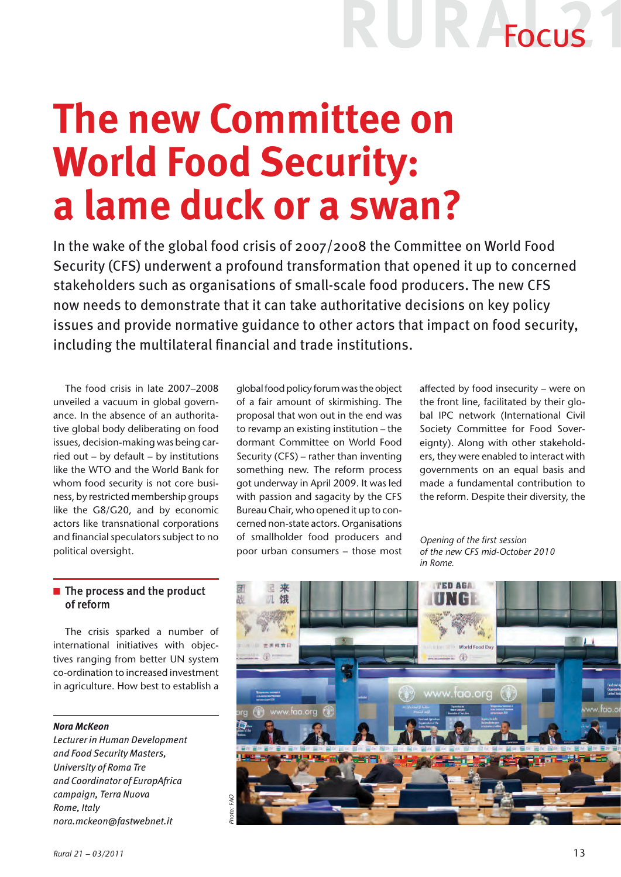## **R** Focus

### **The new Committee on World Food Security: a lame duck or a swan?**

In the wake of the global food crisis of 2007/2008 the Committee on World Food Security (CFS) underwent a profound transformation that opened it up to concerned stakeholders such as organisations of small-scale food producers. The new CFS now needs to demonstrate that it can take authoritative decisions on key policy issues and provide normative guidance to other actors that impact on food security, including the multilateral financial and trade institutions.

The food crisis in late 2007–2008 unveiled a vacuum in global governance. In the absence of an authoritative global body deliberating on food issues, decision-making was being carried out – by default – by institutions like the WTO and the World Bank for whom food security is not core business, by restricted membership groups like the G8/G20, and by economic actors like transnational corporations and financial speculators subject to no political oversight.

global food policy forum was the object of a fair amount of skirmishing. The proposal that won out in the end was to revamp an existing institution – the dormant Committee on World Food Security (CFS) – rather than inventing something new. The reform process got underway in April 2009. It was led with passion and sagacity by the CFS Bureau Chair, who opened it up to concerned non-state actors. Organisations of smallholder food producers and poor urban consumers – those most affected by food insecurity – were on the front line, facilitated by their global IPC network (International Civil Society Committee for Food Sovereignty). Along with other stakeholders, they were enabled to interact with governments on an equal basis and made a fundamental contribution to the reform. Despite their diversity, the

*Opening of the first session of the new CFS mid-October 2010 in Rome.*

### $\blacksquare$  The process and the product of reform

The crisis sparked a number of international initiatives with objectives ranging from better UN system co-ordination to increased investment in agriculture. How best to establish a

### *Nora McKeon*

*Lecturer in Human Development and Food Security Masters, University of Roma Tre and Coordinator of EuropAfrica campaign, Terra Nuova Rome, Italy nora.mckeon@fastwebnet.it*

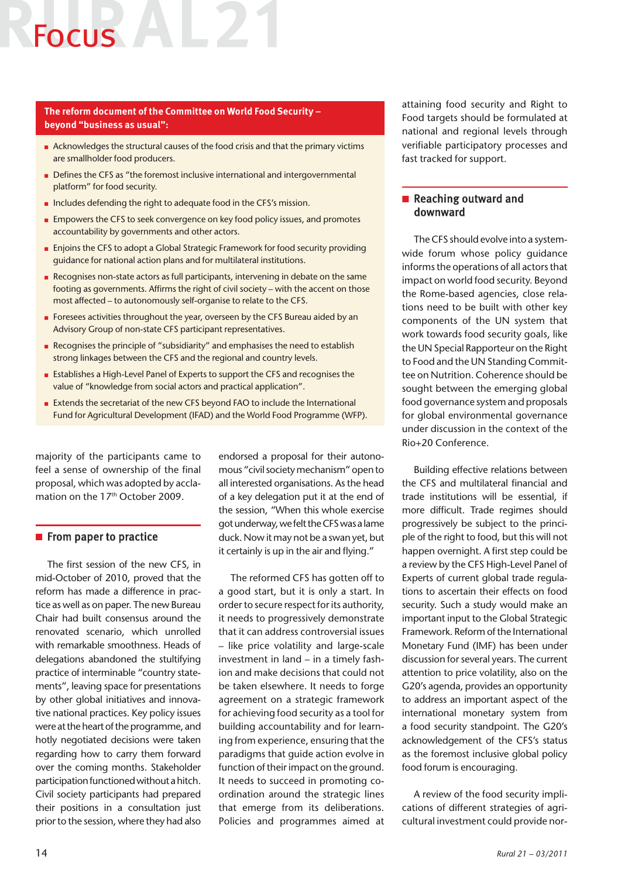## Focus AL2

### **The reform document of the Committee on World Food Security – beyond "business as usual":**

- <sup>n</sup> Acknowledges the structural causes of the food crisis and that the primary victims are smallholder food producers.
- Defines the CFS as "the foremost inclusive international and intergovernmental platform" for food security.
- n Includes defending the right to adequate food in the CFS's mission.
- **n** Empowers the CFS to seek convergence on key food policy issues, and promotes accountability by governments and other actors.
- <sup>n</sup> Enjoins the CFS to adopt a Global Strategic Framework for food security providing guidance for national action plans and for multilateral institutions.
- <sup>n</sup> Recognises non-state actors as full participants, intervening in debate on the same footing as governments. Affirms the right of civil society – with the accent on those most affected – to autonomously self-organise to relate to the CFS.
- Foresees activities throughout the year, overseen by the CFS Bureau aided by an Advisory Group of non-state CFS participant representatives.
- <sup>n</sup> Recognises the principle of "subsidiarity" and emphasises the need to establish strong linkages between the CFS and the regional and country levels.
- Establishes a High-Level Panel of Experts to support the CFS and recognises the value of "knowledge from social actors and practical application".
- <sup>n</sup> Extends the secretariat of the new CFS beyond FAO to include the International Fund for Agricultural Development (IFAD) and the World Food Programme (WFP).

majority of the participants came to feel a sense of ownership of the final proposal, which was adopted by acclamation on the 17<sup>th</sup> October 2009.

### $\blacksquare$  From paper to practice

The first session of the new CFS, in mid-October of 2010, proved that the reform has made a difference in practice as well as on paper. The new Bureau Chair had built consensus around the renovated scenario, which unrolled with remarkable smoothness. Heads of delegations abandoned the stultifying practice of interminable "country statements", leaving space for presentations by other global initiatives and innovative national practices. Key policy issues were at the heart of the programme, and hotly negotiated decisions were taken regarding how to carry them forward over the coming months. Stakeholder participation functioned without a hitch. Civil society participants had prepared their positions in a consultation just prior to the session, where they had also

endorsed a proposal for their autonomous "civil society mechanism" open to all interested organisations. As the head of a key delegation put it at the end of the session, "When this whole exercise got underway, we felt the CFS was a lame duck. Now it may not be a swan yet, but it certainly is up in the air and flying."

The reformed CFS has gotten off to a good start, but it is only a start. In order to secure respect for its authority, it needs to progressively demonstrate that it can address controversial issues – like price volatility and large-scale investment in land – in a timely fashion and make decisions that could not be taken elsewhere. It needs to forge agreement on a strategic framework for achieving food security as a tool for building accountability and for learning from experience, ensuring that the paradigms that guide action evolve in function of their impact on the ground. It needs to succeed in promoting coordination around the strategic lines that emerge from its deliberations. Policies and programmes aimed at attaining food security and Right to Food targets should be formulated at national and regional levels through verifiable participatory processes and fast tracked for support.

### $\blacksquare$  Reaching outward and downward

The CFS should evolve into a systemwide forum whose policy guidance informs the operations of all actors that impact on world food security. Beyond the Rome-based agencies, close relations need to be built with other key components of the UN system that work towards food security goals, like the UN Special Rapporteur on the Right to Food and the UN Standing Committee on Nutrition. Coherence should be sought between the emerging global food governance system and proposals for global environmental governance under discussion in the context of the Rio+20 Conference.

Building effective relations between the CFS and multilateral financial and trade institutions will be essential, if more difficult. Trade regimes should progressively be subject to the principle of the right to food, but this will not happen overnight. A first step could be a review by the CFS High-Level Panel of Experts of current global trade regulations to ascertain their effects on food security. Such a study would make an important input to the Global Strategic Framework. Reform of the International Monetary Fund (IMF) has been under discussion for several years. The current attention to price volatility, also on the G20's agenda, provides an opportunity to address an important aspect of the international monetary system from a food security standpoint. The G20's acknowledgement of the CFS's status as the foremost inclusive global policy food forum is encouraging.

A review of the food security implications of different strategies of agricultural investment could provide nor-